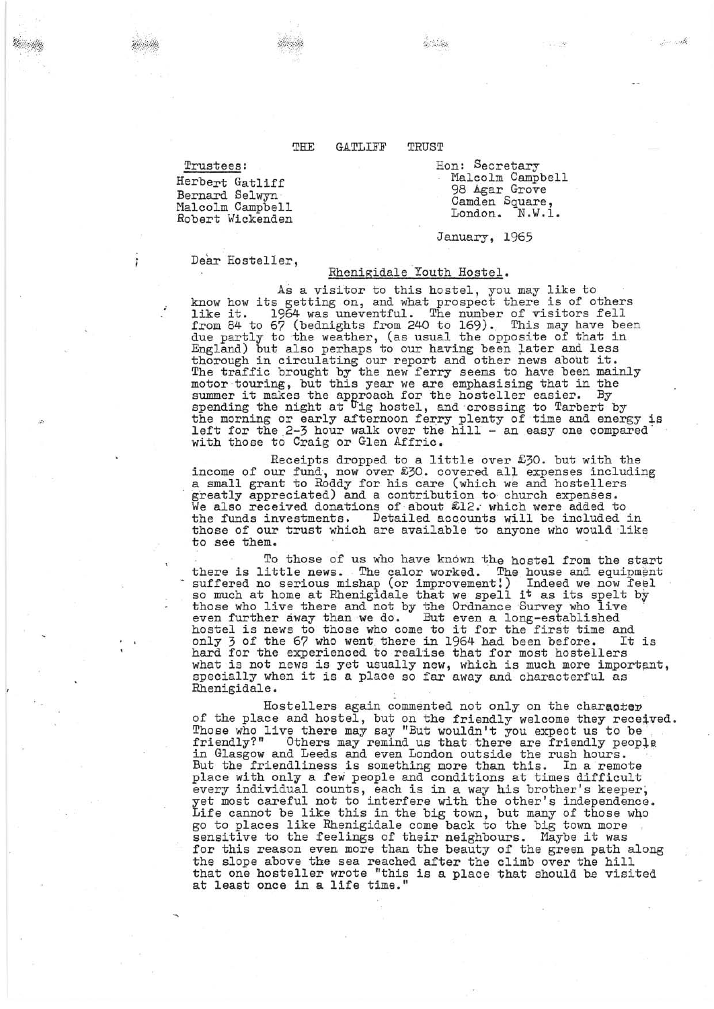## THE GATLIFF TRUST

Trustees:

Herbert Gatliff Bernard Selwyn<br>Malcolm Campbell Robert Wickenden Hon: Secretary Malcolm Campbell 98 Agar Grove Camden Square, London. N.W.l.

·.' ;f.i.

January, 1965

Dear Hosteller,

## Rhenigidale Youth Hostel.

As a visitor to this hostel, you may like to know how its getting on, and what prospect there is of others hike it. 1964 was uneventful. The number of visitors fell from 84 to 67 (bednights from 240 to 169). This may have been due partly to the weather, (as usual the opposite of that in England) but also perhaps to our having been later and less thorough in circulating our report and other news about it. The traffic brought by the new ferry seems to have been mainly motor touring, but this year we are emphasising that in the<br>summer it makes the approach for the hosteller easier. By<br>spending the night at <sup>U</sup>ig hostel, and crossing to Tarbert by<br>the morning or early afternoon ferry plen left for the 2-3 hour walk over the hill - an easy one compared with those to Craig or Glen Aifric.

Receipts dropped to a little over £30. but with the income of our fund, now over £30. covered all expenses including a small grant to Roddy for his care (which we and hostellers . greatly appreciated) and a contribution to church expenses. greatly appreciated) and a contribution to church expenses.<br>We also received donations of about £12. which were added to the funds investments. Detailed accounts will be included in those of our trust which are available to anyone who would like to see them.

To those of us who have knovm the hostel from the start there is little news. The calor worked. The house and equipment suffered no serious mishap (or improvement!) Indeed we now feel so much at home at Rhenigidale that we spell it as its spelt by those who live there and not by the Ordnance Survey who live<br>even further away than we do. But even a long-established<br>hostel is news to those who come to it for the first time and<br>only 3 of the 67 who went there in 1964 h only 3 of the 67 who went. there in 1964 had been before. It is hard for the experienced to realise that for most hostellers what is not news is yet usually new, which is much more important, specially when it is a place so far away and characterful as Rhenigidale.

Hostellers again commented not only on the character of the place and hostel, but on the friendly welcome they received. Those who live there may say "But wouldn't you expect us to be friendly?" Others may remind us that there are friendly people friendly?" Others may remind us that there are friendly people<br>in Glasgow and Leeds and even London outside the rush hours.<br>But the friendliness is something more than this. In a remote place with only a few people and conditions at times difficult every individual counts, each is in a way his brother's keeper, yet most careful not to interfere with the other's independence. Life cannot be like this in the big town, but many of those who go to places like Rhenigidale come back to the big town more sensitive to the feelings of their neighbours. Maybe it was sensitive to the feelings of their neighbours. Maybe it was for this reason even more than the beauty of the green path along the slope above the sea reached after the climb over the hill that one hosteller wrote "this is a place that should he visited at least once in a life time."

Soft Wilde